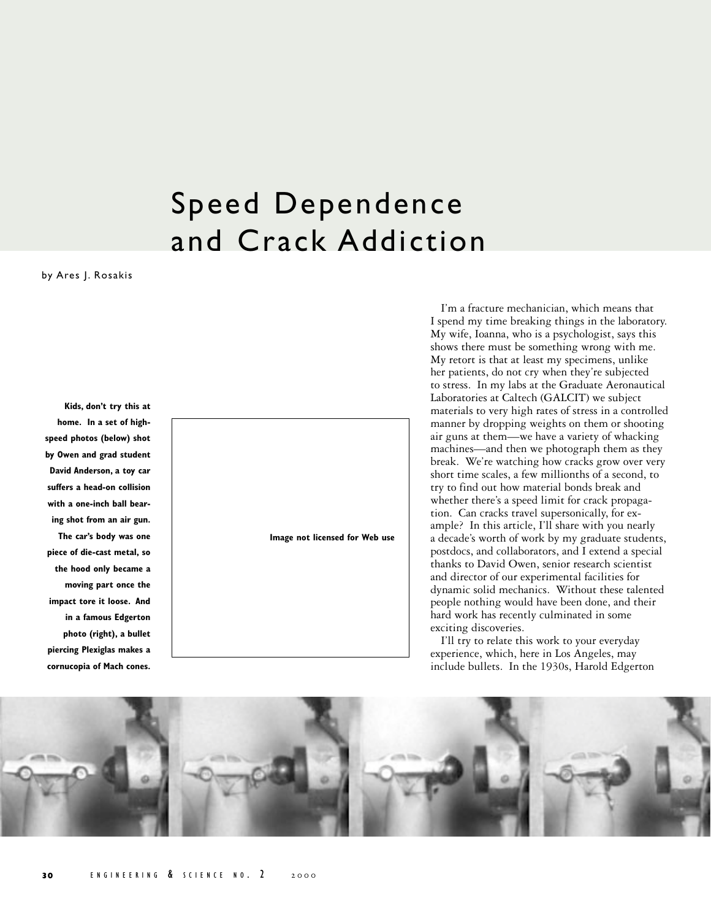## Speed Dependence and Crack Addiction

by Ares J. Rosakis

**Kids, don't try this at home. In a set of highspeed photos (below) shot by Owen and grad student David Anderson, a toy car suffers a head-on collision with a one-inch ball bearing shot from an air gun. The car's body was one piece of die-cast metal, so the hood only became a moving part once the impact tore it loose. And in a famous Edgerton photo (right), a bullet piercing Plexiglas makes a cornucopia of Mach cones.**



I'm a fracture mechanician, which means that I spend my time breaking things in the laboratory. My wife, Ioanna, who is a psychologist, says this shows there must be something wrong with me. My retort is that at least my specimens, unlike her patients, do not cry when they're subjected to stress. In my labs at the Graduate Aeronautical Laboratories at Caltech (GALCIT) we subject materials to very high rates of stress in a controlled manner by dropping weights on them or shooting air guns at them—we have a variety of whacking machines—and then we photograph them as they break. We're watching how cracks grow over very short time scales, a few millionths of a second, to try to find out how material bonds break and whether there's a speed limit for crack propagation. Can cracks travel supersonically, for example? In this article, I'll share with you nearly a decade's worth of work by my graduate students, postdocs, and collaborators, and I extend a special thanks to David Owen, senior research scientist and director of our experimental facilities for dynamic solid mechanics. Without these talented people nothing would have been done, and their hard work has recently culminated in some exciting discoveries.

I'll try to relate this work to your everyday experience, which, here in Los Angeles, may include bullets. In the 1930s, Harold Edgerton

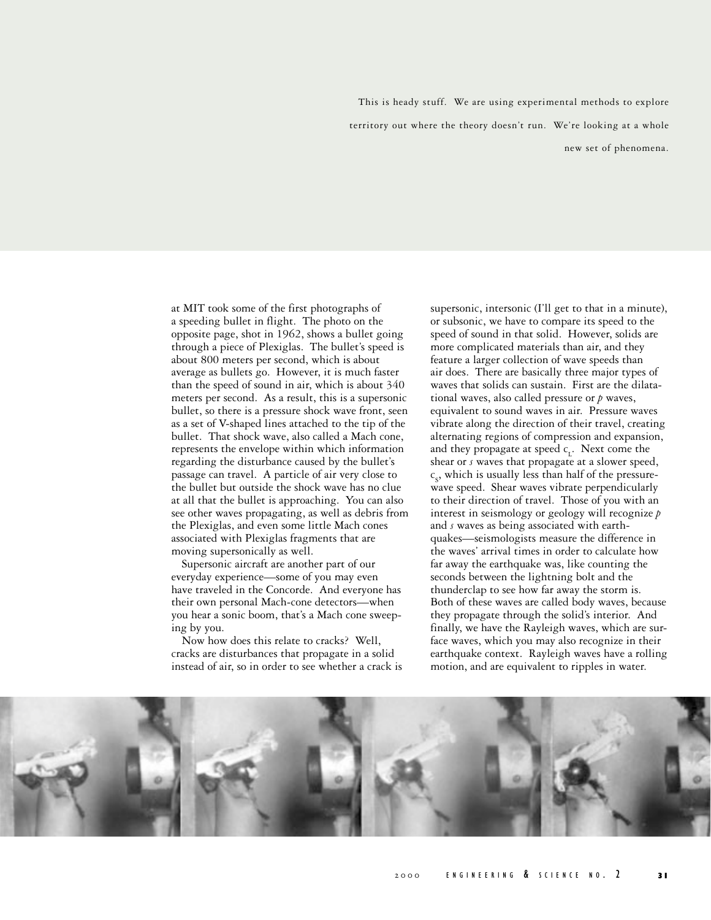This is heady stuff. We are using experimental methods to explore territory out where the theory doesn't run. We're looking at a whole new set of phenomena.

at MIT took some of the first photographs of a speeding bullet in flight. The photo on the opposite page, shot in 1962, shows a bullet going through a piece of Plexiglas. The bullet's speed is about 800 meters per second, which is about average as bullets go. However, it is much faster than the speed of sound in air, which is about 340 meters per second. As a result, this is a supersonic bullet, so there is a pressure shock wave front, seen as a set of V-shaped lines attached to the tip of the bullet. That shock wave, also called a Mach cone, represents the envelope within which information regarding the disturbance caused by the bullet's passage can travel. A particle of air very close to the bullet but outside the shock wave has no clue at all that the bullet is approaching. You can also see other waves propagating, as well as debris from the Plexiglas, and even some little Mach cones associated with Plexiglas fragments that are moving supersonically as well.

Supersonic aircraft are another part of our everyday experience—some of you may even have traveled in the Concorde. And everyone has their own personal Mach-cone detectors—when you hear a sonic boom, that's a Mach cone sweeping by you.

Now how does this relate to cracks? Well, cracks are disturbances that propagate in a solid instead of air, so in order to see whether a crack is

supersonic, intersonic (I'll get to that in a minute), or subsonic, we have to compare its speed to the speed of sound in that solid. However, solids are more complicated materials than air, and they feature a larger collection of wave speeds than air does. There are basically three major types of waves that solids can sustain. First are the dilatational waves, also called pressure or *p* waves, equivalent to sound waves in air. Pressure waves vibrate along the direction of their travel, creating alternating regions of compression and expansion, and they propagate at speed c<sub>L</sub>. Next come the shear or *s* waves that propagate at a slower speed,  $c_s$ , which is usually less than half of the pressurewave speed. Shear waves vibrate perpendicularly to their direction of travel. Those of you with an interest in seismology or geology will recognize *p* and *s* waves as being associated with earthquakes—seismologists measure the difference in the waves' arrival times in order to calculate how far away the earthquake was, like counting the seconds between the lightning bolt and the thunderclap to see how far away the storm is. Both of these waves are called body waves, because they propagate through the solid's interior. And finally, we have the Rayleigh waves, which are surface waves, which you may also recognize in their earthquake context. Rayleigh waves have a rolling motion, and are equivalent to ripples in water.

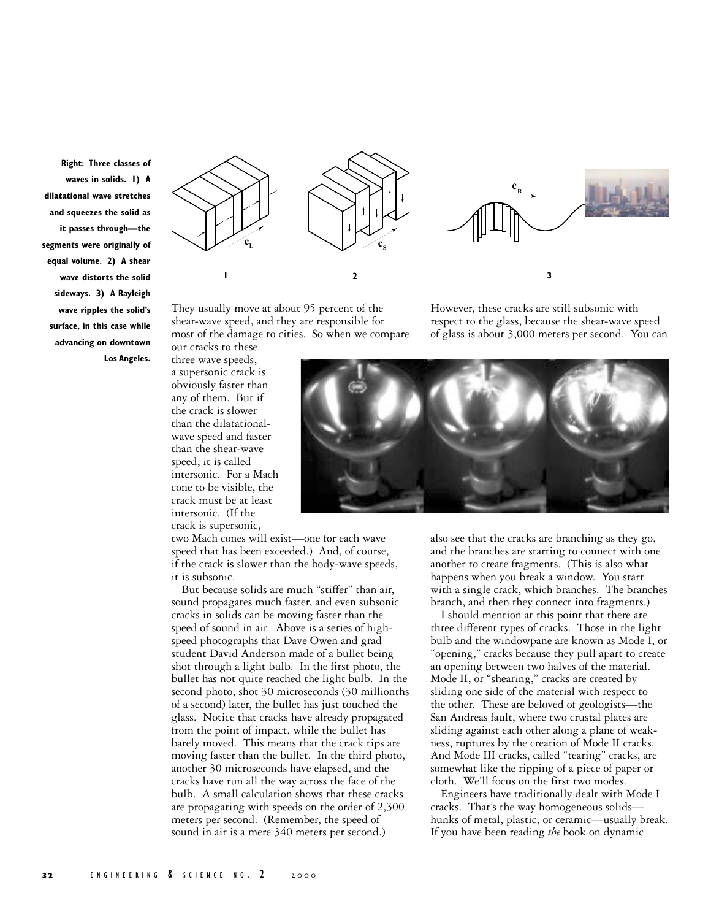**Right: Three classes of waves in solids. 1) A dilatational wave stretches and squeezes the solid as it passes through—the segments were originally of equal volume. 2) A shear wave distorts the solid sideways. 3) A Rayleigh wave ripples the solid's surface, in this case while advancing on downtown Los Angeles.**



They usually move at about 95 percent of the shear-wave speed, and they are responsible for most of the damage to cities. So when we compare

However, these cracks are still subsonic with respect to the glass, because the shear-wave speed of glass is about 3,000 meters per second. You can

our cracks to these three wave speeds, a supersonic crack is obviously faster than any of them. But if the crack is slower than the dilatationalwave speed and faster than the shear-wave speed, it is called intersonic. For a Mach cone to be visible, the crack must be at least intersonic. (If the crack is supersonic,



two Mach cones will exist—one for each wave speed that has been exceeded.) And, of course, if the crack is slower than the body-wave speeds, it is subsonic.

But because solids are much "stiffer" than air, sound propagates much faster, and even subsonic cracks in solids can be moving faster than the speed of sound in air. Above is a series of highspeed photographs that Dave Owen and grad student David Anderson made of a bullet being shot through a light bulb. In the first photo, the bullet has not quite reached the light bulb. In the second photo, shot 30 microseconds (30 millionths of a second) later, the bullet has just touched the glass. Notice that cracks have already propagated from the point of impact, while the bullet has barely moved. This means that the crack tips are moving faster than the bullet. In the third photo, another 30 microseconds have elapsed, and the cracks have run all the way across the face of the bulb. A small calculation shows that these cracks are propagating with speeds on the order of 2,300 meters per second. (Remember, the speed of sound in air is a mere 340 meters per second.)

also see that the cracks are branching as they go, and the branches are starting to connect with one another to create fragments. (This is also what happens when you break a window. You start with a single crack, which branches. The branches branch, and then they connect into fragments.)

I should mention at this point that there are three different types of cracks. Those in the light bulb and the windowpane are known as Mode I, or "opening," cracks because they pull apart to create an opening between two halves of the material. Mode II, or "shearing," cracks are created by sliding one side of the material with respect to the other. These are beloved of geologists—the San Andreas fault, where two crustal plates are sliding against each other along a plane of weakness, ruptures by the creation of Mode II cracks. And Mode III cracks, called "tearing" cracks, are somewhat like the ripping of a piece of paper or cloth. We'll focus on the first two modes.

Engineers have traditionally dealt with Mode I cracks. That's the way homogeneous solids hunks of metal, plastic, or ceramic—usually break. If you have been reading *the* book on dynamic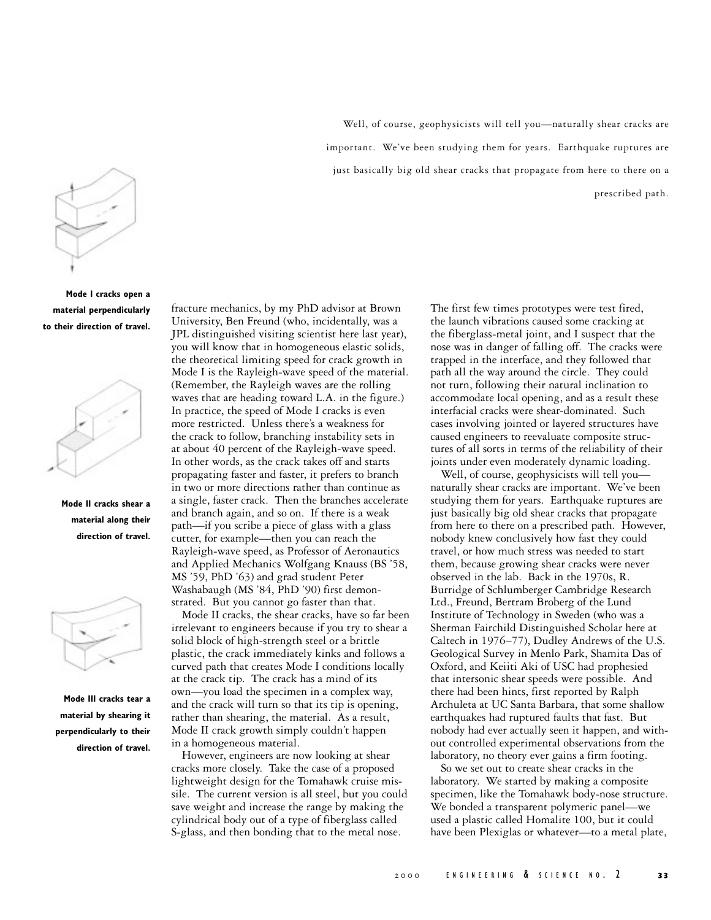

**Mode I cracks open a material perpendicularly to their direction of travel.**



**Mode II cracks shear a material along their direction of travel.**



**Mode III cracks tear a material by shearing it perpendicularly to their direction of travel.** fracture mechanics, by my PhD advisor at Brown University, Ben Freund (who, incidentally, was a JPL distinguished visiting scientist here last year), you will know that in homogeneous elastic solids, the theoretical limiting speed for crack growth in Mode I is the Rayleigh-wave speed of the material. (Remember, the Rayleigh waves are the rolling waves that are heading toward L.A. in the figure.) In practice, the speed of Mode I cracks is even more restricted. Unless there's a weakness for the crack to follow, branching instability sets in at about 40 percent of the Rayleigh-wave speed. In other words, as the crack takes off and starts propagating faster and faster, it prefers to branch in two or more directions rather than continue as a single, faster crack. Then the branches accelerate and branch again, and so on. If there is a weak path—if you scribe a piece of glass with a glass cutter, for example—then you can reach the Rayleigh-wave speed, as Professor of Aeronautics and Applied Mechanics Wolfgang Knauss (BS '58, MS '59, PhD '63) and grad student Peter Washabaugh (MS '84, PhD '90) first demonstrated. But you cannot go faster than that.

Mode II cracks, the shear cracks, have so far been irrelevant to engineers because if you try to shear a solid block of high-strength steel or a brittle plastic, the crack immediately kinks and follows a curved path that creates Mode I conditions locally at the crack tip. The crack has a mind of its own—you load the specimen in a complex way, and the crack will turn so that its tip is opening, rather than shearing, the material. As a result, Mode II crack growth simply couldn't happen in a homogeneous material.

However, engineers are now looking at shear cracks more closely. Take the case of a proposed lightweight design for the Tomahawk cruise missile. The current version is all steel, but you could save weight and increase the range by making the cylindrical body out of a type of fiberglass called S-glass, and then bonding that to the metal nose.

Well, of course, geophysicists will tell you—naturally shear cracks are important. We've been studying them for years. Earthquake ruptures are just basically big old shear cracks that propagate from here to there on a prescribed path.

> The first few times prototypes were test fired, the launch vibrations caused some cracking at the fiberglass-metal joint, and I suspect that the nose was in danger of falling off. The cracks were trapped in the interface, and they followed that path all the way around the circle. They could not turn, following their natural inclination to accommodate local opening, and as a result these interfacial cracks were shear-dominated. Such cases involving jointed or layered structures have caused engineers to reevaluate composite structures of all sorts in terms of the reliability of their joints under even moderately dynamic loading.

Well, of course, geophysicists will tell you naturally shear cracks are important. We've been studying them for years. Earthquake ruptures are just basically big old shear cracks that propagate from here to there on a prescribed path. However, nobody knew conclusively how fast they could travel, or how much stress was needed to start them, because growing shear cracks were never observed in the lab. Back in the 1970s, R. Burridge of Schlumberger Cambridge Research Ltd., Freund, Bertram Broberg of the Lund Institute of Technology in Sweden (who was a Sherman Fairchild Distinguished Scholar here at Caltech in 1976–77), Dudley Andrews of the U.S. Geological Survey in Menlo Park, Shamita Das of Oxford, and Keiiti Aki of USC had prophesied that intersonic shear speeds were possible. And there had been hints, first reported by Ralph Archuleta at UC Santa Barbara, that some shallow earthquakes had ruptured faults that fast. But nobody had ever actually seen it happen, and without controlled experimental observations from the laboratory, no theory ever gains a firm footing.

So we set out to create shear cracks in the laboratory. We started by making a composite specimen, like the Tomahawk body-nose structure. We bonded a transparent polymeric panel—we used a plastic called Homalite 100, but it could have been Plexiglas or whatever—to a metal plate,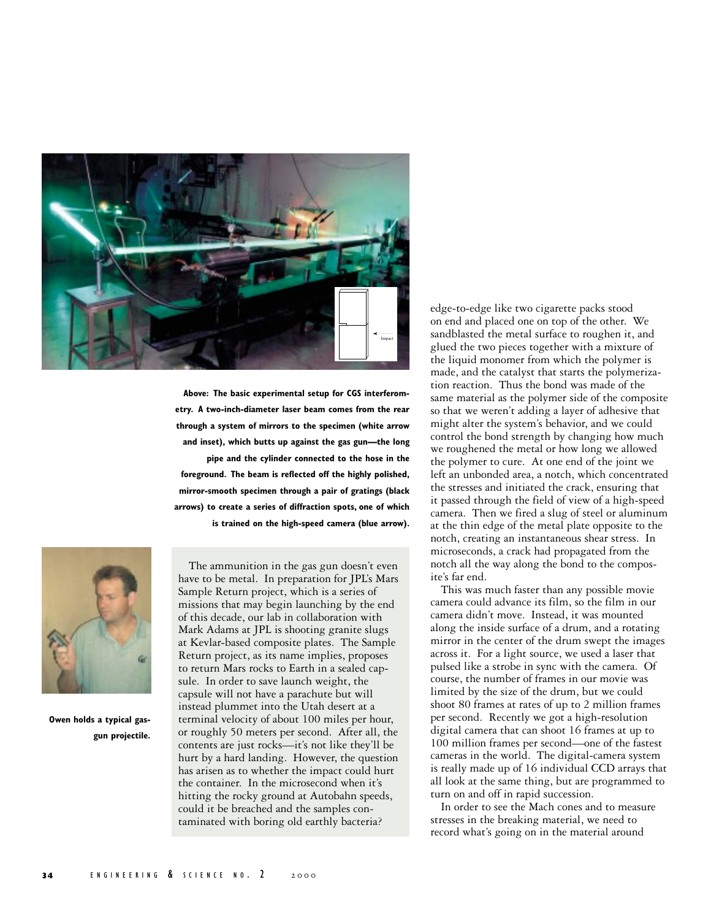

**Above: The basic experimental setup for CGS interferometry. A two-inch-diameter laser beam comes from the rear through a system of mirrors to the specimen (white arrow and inset), which butts up against the gas gun—the long**

**pipe and the cylinder connected to the hose in the foreground. The beam is reflected off the highly polished, mirror-smooth specimen through a pair of gratings (black arrows) to create a series of diffraction spots, one of which is trained on the high-speed camera (blue arrow).**



**Owen holds a typical gasgun projectile.**

The ammunition in the gas gun doesn't even have to be metal. In preparation for JPL's Mars Sample Return project, which is a series of missions that may begin launching by the end of this decade, our lab in collaboration with Mark Adams at JPL is shooting granite slugs at Kevlar-based composite plates. The Sample Return project, as its name implies, proposes to return Mars rocks to Earth in a sealed capsule. In order to save launch weight, the capsule will not have a parachute but will instead plummet into the Utah desert at a terminal velocity of about 100 miles per hour, or roughly 50 meters per second. After all, the contents are just rocks—it's not like they'll be hurt by a hard landing. However, the question has arisen as to whether the impact could hurt the container. In the microsecond when it's hitting the rocky ground at Autobahn speeds, could it be breached and the samples contaminated with boring old earthly bacteria?

edge-to-edge like two cigarette packs stood on end and placed one on top of the other. We sandblasted the metal surface to roughen it, and glued the two pieces together with a mixture of the liquid monomer from which the polymer is made, and the catalyst that starts the polymerization reaction. Thus the bond was made of the same material as the polymer side of the composite so that we weren't adding a layer of adhesive that might alter the system's behavior, and we could control the bond strength by changing how much we roughened the metal or how long we allowed the polymer to cure. At one end of the joint we left an unbonded area, a notch, which concentrated the stresses and initiated the crack, ensuring that it passed through the field of view of a high-speed camera. Then we fired a slug of steel or aluminum at the thin edge of the metal plate opposite to the notch, creating an instantaneous shear stress. In microseconds, a crack had propagated from the notch all the way along the bond to the composite's far end.

This was much faster than any possible movie camera could advance its film, so the film in our camera didn't move. Instead, it was mounted along the inside surface of a drum, and a rotating mirror in the center of the drum swept the images across it. For a light source, we used a laser that pulsed like a strobe in sync with the camera. Of course, the number of frames in our movie was limited by the size of the drum, but we could shoot 80 frames at rates of up to 2 million frames per second. Recently we got a high-resolution digital camera that can shoot 16 frames at up to 100 million frames per second—one of the fastest cameras in the world. The digital-camera system is really made up of 16 individual CCD arrays that all look at the same thing, but are programmed to turn on and off in rapid succession.

In order to see the Mach cones and to measure stresses in the breaking material, we need to record what's going on in the material around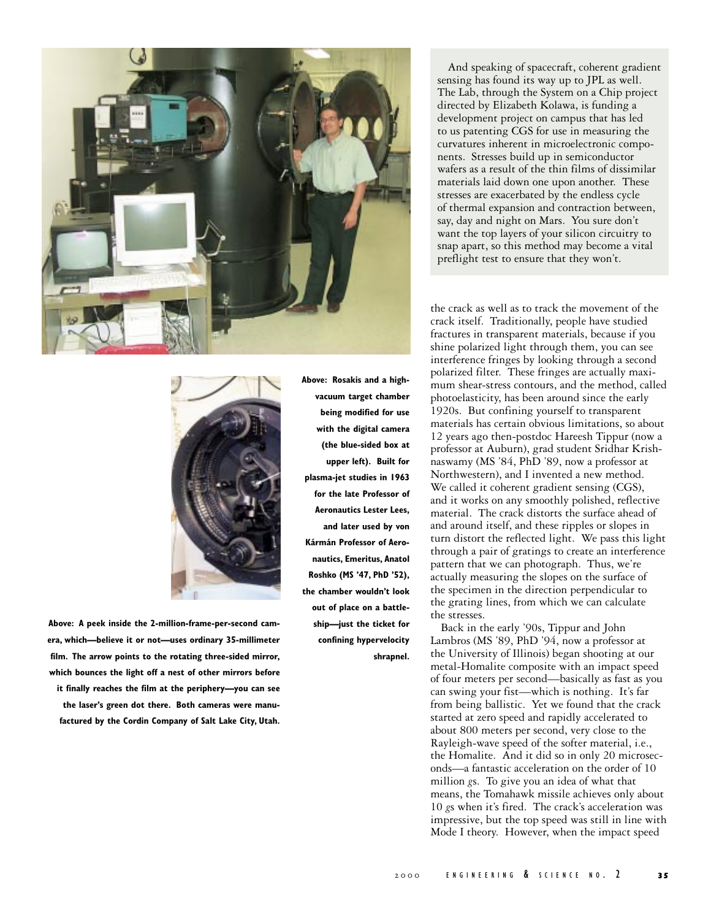

**Above: A peek inside the 2-million-frame-per-second camera, which—believe it or not—uses ordinary 35-millimeter film. The arrow points to the rotating three-sided mirror, which bounces the light off a nest of other mirrors before it finally reaches the film at the periphery—you can see**

**the laser's green dot there. Both cameras were manufactured by the Cordin Company of Salt Lake City, Utah.** **Above: Rosakis and a highvacuum target chamber being modified for use with the digital camera (the blue-sided box at upper left). Built for plasma-jet studies in 1963 for the late Professor of Aeronautics Lester Lees, and later used by von Kármán Professor of Aeronautics, Emeritus, Anatol Roshko (MS '47, PhD '52), the chamber wouldn't look out of place on a battleship—just the ticket for confining hypervelocity shrapnel.**

And speaking of spacecraft, coherent gradient sensing has found its way up to JPL as well. The Lab, through the System on a Chip project directed by Elizabeth Kolawa, is funding a development project on campus that has led to us patenting CGS for use in measuring the curvatures inherent in microelectronic components. Stresses build up in semiconductor wafers as a result of the thin films of dissimilar materials laid down one upon another. These stresses are exacerbated by the endless cycle of thermal expansion and contraction between, say, day and night on Mars. You sure don't want the top layers of your silicon circuitry to snap apart, so this method may become a vital preflight test to ensure that they won't.

the crack as well as to track the movement of the crack itself. Traditionally, people have studied fractures in transparent materials, because if you shine polarized light through them, you can see interference fringes by looking through a second polarized filter. These fringes are actually maximum shear-stress contours, and the method, called photoelasticity, has been around since the early 1920s. But confining yourself to transparent materials has certain obvious limitations, so about 12 years ago then-postdoc Hareesh Tippur (now a professor at Auburn), grad student Sridhar Krishnaswamy (MS '84, PhD '89, now a professor at Northwestern), and I invented a new method. We called it coherent gradient sensing (CGS), and it works on any smoothly polished, reflective material. The crack distorts the surface ahead of and around itself, and these ripples or slopes in turn distort the reflected light. We pass this light through a pair of gratings to create an interference pattern that we can photograph. Thus, we're actually measuring the slopes on the surface of the specimen in the direction perpendicular to the grating lines, from which we can calculate the stresses.

Back in the early '90s, Tippur and John Lambros (MS '89, PhD '94, now a professor at the University of Illinois) began shooting at our metal-Homalite composite with an impact speed of four meters per second—basically as fast as you can swing your fist—which is nothing. It's far from being ballistic. Yet we found that the crack started at zero speed and rapidly accelerated to about 800 meters per second, very close to the Rayleigh-wave speed of the softer material, i.e., the Homalite. And it did so in only 20 microseconds—a fantastic acceleration on the order of 10 million *g*s. To give you an idea of what that means, the Tomahawk missile achieves only about 10 *g*s when it's fired. The crack's acceleration was impressive, but the top speed was still in line with Mode I theory. However, when the impact speed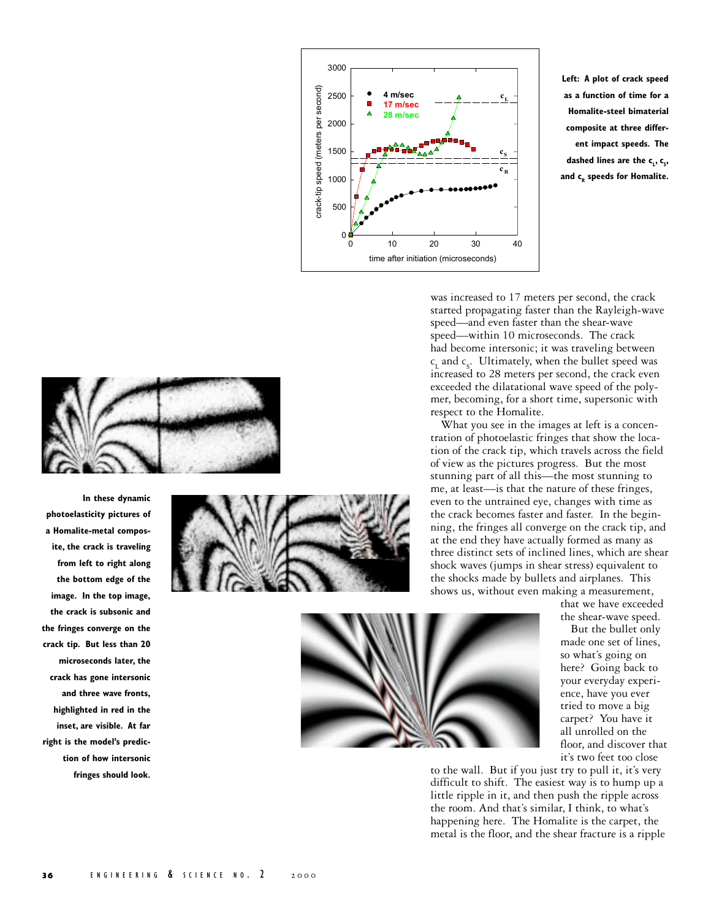

**Left: A plot of crack speed as a function of time for a Homalite-steel bimaterial composite at three different impact speeds. The** dashed lines are the c<sub>L</sub>, c<sub>s</sub>, **and cR speeds for Homalite.**



**In these dynamic photoelasticity pictures of a Homalite-metal composite, the crack is traveling from left to right along the bottom edge of the image. In the top image, the crack is subsonic and the fringes converge on the crack tip. But less than 20 microseconds later, the crack has gone intersonic and three wave fronts, highlighted in red in the inset, are visible. At far right is the model's prediction of how intersonic fringes should look.**





was increased to 17 meters per second, the crack started propagating faster than the Rayleigh-wave speed—and even faster than the shear-wave speed—within 10 microseconds. The crack had become intersonic; it was traveling between  $c_{\rm L}$  and  $c_{\rm S}$ . Ultimately, when the bullet speed was increased to 28 meters per second, the crack even exceeded the dilatational wave speed of the polymer, becoming, for a short time, supersonic with respect to the Homalite.

What you see in the images at left is a concentration of photoelastic fringes that show the location of the crack tip, which travels across the field of view as the pictures progress. But the most stunning part of all this—the most stunning to me, at least—is that the nature of these fringes, even to the untrained eye, changes with time as the crack becomes faster and faster. In the beginning, the fringes all converge on the crack tip, and at the end they have actually formed as many as three distinct sets of inclined lines, which are shear shock waves (jumps in shear stress) equivalent to the shocks made by bullets and airplanes. This shows us, without even making a measurement,

> that we have exceeded the shear-wave speed.

But the bullet only made one set of lines, so what's going on here? Going back to your everyday experience, have you ever tried to move a big carpet? You have it all unrolled on the floor, and discover that it's two feet too close

to the wall. But if you just try to pull it, it's very difficult to shift. The easiest way is to hump up a little ripple in it, and then push the ripple across the room. And that's similar, I think, to what's happening here. The Homalite is the carpet, the metal is the floor, and the shear fracture is a ripple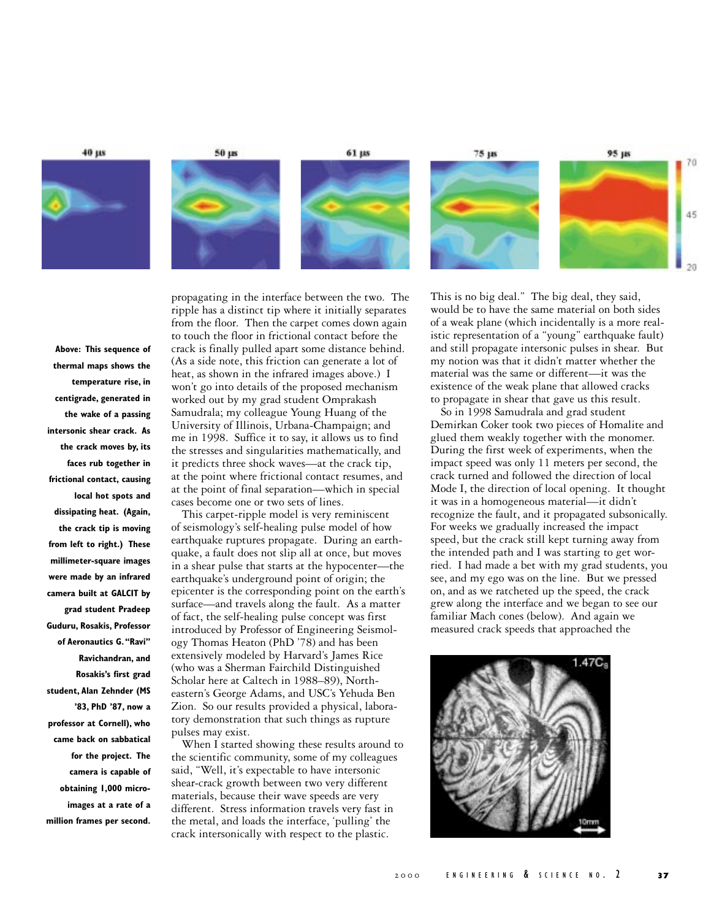40 µs





61 µs







**Above: This sequence of thermal maps shows the temperature rise, in centigrade, generated in the wake of a passing intersonic shear crack. As the crack moves by, its faces rub together in frictional contact, causing local hot spots and dissipating heat. (Again, the crack tip is moving from left to right.) These millimeter-square images were made by an infrared camera built at GALCIT by grad student Pradeep Guduru, Rosakis, Professor of Aeronautics G. "Ravi" Ravichandran, and Rosakis's first grad student, Alan Zehnder (MS '83, PhD '87, now a professor at Cornell), who came back on sabbatical for the project. The camera is capable of obtaining 1,000 microimages at a rate of a million frames per second.** propagating in the interface between the two. The ripple has a distinct tip where it initially separates from the floor. Then the carpet comes down again to touch the floor in frictional contact before the crack is finally pulled apart some distance behind. (As a side note, this friction can generate a lot of heat, as shown in the infrared images above.) I won't go into details of the proposed mechanism worked out by my grad student Omprakash Samudrala; my colleague Young Huang of the University of Illinois, Urbana-Champaign; and me in 1998. Suffice it to say, it allows us to find the stresses and singularities mathematically, and it predicts three shock waves—at the crack tip, at the point where frictional contact resumes, and at the point of final separation—which in special cases become one or two sets of lines.

This carpet-ripple model is very reminiscent of seismology's self-healing pulse model of how earthquake ruptures propagate. During an earthquake, a fault does not slip all at once, but moves in a shear pulse that starts at the hypocenter—the earthquake's underground point of origin; the epicenter is the corresponding point on the earth's surface—and travels along the fault. As a matter of fact, the self-healing pulse concept was first introduced by Professor of Engineering Seismology Thomas Heaton (PhD '78) and has been extensively modeled by Harvard's James Rice (who was a Sherman Fairchild Distinguished Scholar here at Caltech in 1988–89), Northeastern's George Adams, and USC's Yehuda Ben Zion. So our results provided a physical, laboratory demonstration that such things as rupture pulses may exist.

When I started showing these results around to the scientific community, some of my colleagues said, "Well, it's expectable to have intersonic shear-crack growth between two very different materials, because their wave speeds are very different. Stress information travels very fast in the metal, and loads the interface, 'pulling' the crack intersonically with respect to the plastic.

This is no big deal." The big deal, they said, would be to have the same material on both sides of a weak plane (which incidentally is a more realistic representation of a "young" earthquake fault) and still propagate intersonic pulses in shear. But my notion was that it didn't matter whether the material was the same or different—it was the existence of the weak plane that allowed cracks to propagate in shear that gave us this result.

So in 1998 Samudrala and grad student Demirkan Coker took two pieces of Homalite and glued them weakly together with the monomer. During the first week of experiments, when the impact speed was only 11 meters per second, the crack turned and followed the direction of local Mode I, the direction of local opening. It thought it was in a homogeneous material—it didn't recognize the fault, and it propagated subsonically. For weeks we gradually increased the impact speed, but the crack still kept turning away from the intended path and I was starting to get worried. I had made a bet with my grad students, you see, and my ego was on the line. But we pressed on, and as we ratcheted up the speed, the crack grew along the interface and we began to see our familiar Mach cones (below). And again we measured crack speeds that approached the